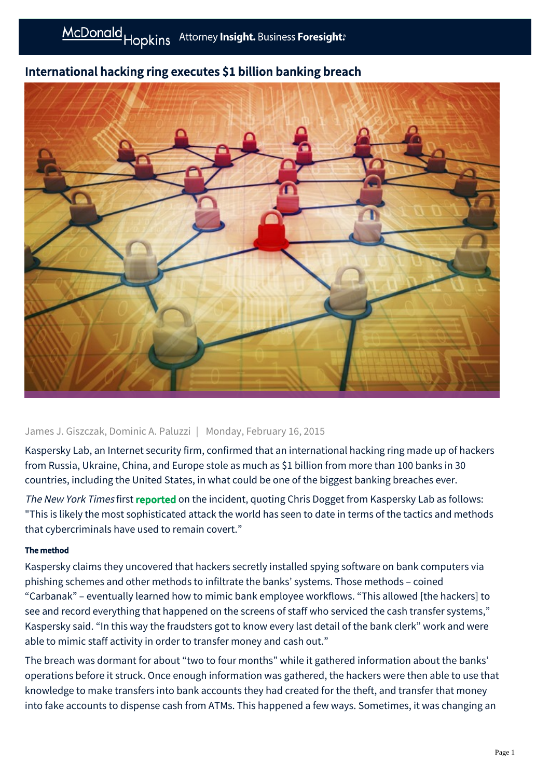

# International hacking ring executes \$1 billion banking breach

### James J. Giszczak, Dominic A. Paluzzi | Monday, February 16, 2015

Kaspersky Lab, an Internet security firm, confirmed that an international hacking ring made up of hackers from Russia, Ukraine, China, and Europe stole as much as \$1 billion from more than 100 banks in 30 countries, including the United States, in what could be one of the biggest banking breaches ever.

The New York Times first [reported](http://www.nytimes.com/2015/02/15/world/bank-hackers-steal-millions-via-malware.html?_r=0) on the incident, quoting Chris Dogget from Kaspersky Lab as follows: "This is likely the most sophisticated attack the world has seen to date in terms of the tactics and methods that cybercriminals have used to remain covert."

### The method

Kaspersky claims they uncovered that hackers secretly installed spying software on bank computers via phishing schemes and other methods to infiltrate the banks' systems. Those methods – coined "Carbanak" – eventually learned how to mimic bank employee workflows. "This allowed [the hackers] to see and record everything that happened on the screens of staff who serviced the cash transfer systems," Kaspersky said. "In this way the fraudsters got to know every last detail of the bank clerk" work and were able to mimic staff activity in order to transfer money and cash out."

The breach was dormant for about "two to four months" while it gathered information about the banks' operations before it struck. Once enough information was gathered, the hackers were then able to use that knowledge to make transfers into bank accounts they had created for the theft, and transfer that money into fake accounts to dispense cash from ATMs. This happened a few ways. Sometimes, it was changing an